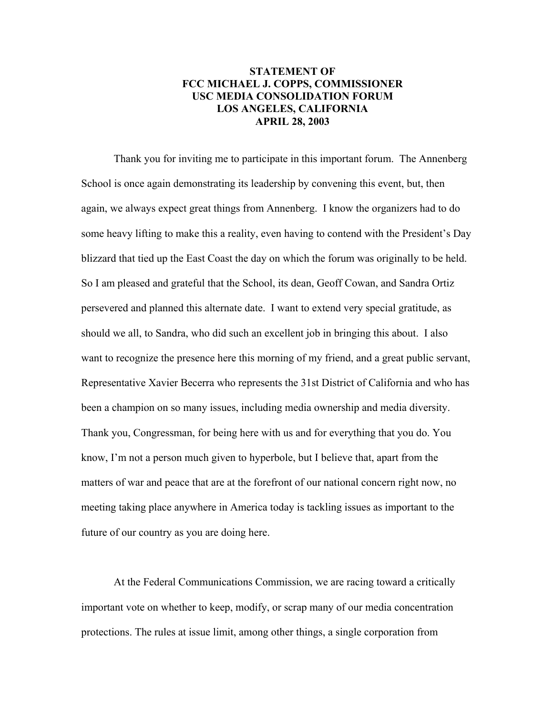## **STATEMENT OF FCC MICHAEL J. COPPS, COMMISSIONER USC MEDIA CONSOLIDATION FORUM LOS ANGELES, CALIFORNIA APRIL 28, 2003**

Thank you for inviting me to participate in this important forum. The Annenberg School is once again demonstrating its leadership by convening this event, but, then again, we always expect great things from Annenberg. I know the organizers had to do some heavy lifting to make this a reality, even having to contend with the President's Day blizzard that tied up the East Coast the day on which the forum was originally to be held. So I am pleased and grateful that the School, its dean, Geoff Cowan, and Sandra Ortiz persevered and planned this alternate date. I want to extend very special gratitude, as should we all, to Sandra, who did such an excellent job in bringing this about. I also want to recognize the presence here this morning of my friend, and a great public servant, Representative Xavier Becerra who represents the 31st District of California and who has been a champion on so many issues, including media ownership and media diversity. Thank you, Congressman, for being here with us and for everything that you do. You know, I'm not a person much given to hyperbole, but I believe that, apart from the matters of war and peace that are at the forefront of our national concern right now, no meeting taking place anywhere in America today is tackling issues as important to the future of our country as you are doing here.

At the Federal Communications Commission, we are racing toward a critically important vote on whether to keep, modify, or scrap many of our media concentration protections. The rules at issue limit, among other things, a single corporation from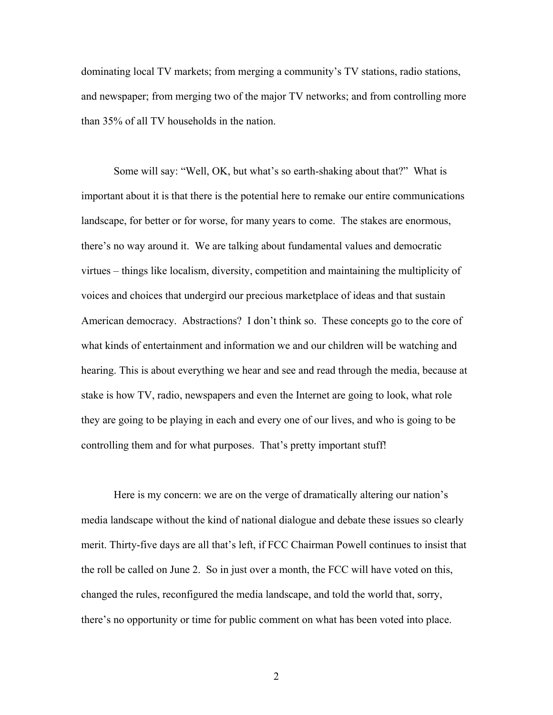dominating local TV markets; from merging a community's TV stations, radio stations, and newspaper; from merging two of the major TV networks; and from controlling more than 35% of all TV households in the nation.

Some will say: "Well, OK, but what's so earth-shaking about that?" What is important about it is that there is the potential here to remake our entire communications landscape, for better or for worse, for many years to come. The stakes are enormous, there's no way around it. We are talking about fundamental values and democratic virtues – things like localism, diversity, competition and maintaining the multiplicity of voices and choices that undergird our precious marketplace of ideas and that sustain American democracy. Abstractions? I don't think so. These concepts go to the core of what kinds of entertainment and information we and our children will be watching and hearing. This is about everything we hear and see and read through the media, because at stake is how TV, radio, newspapers and even the Internet are going to look, what role they are going to be playing in each and every one of our lives, and who is going to be controlling them and for what purposes. That's pretty important stuff!

Here is my concern: we are on the verge of dramatically altering our nation's media landscape without the kind of national dialogue and debate these issues so clearly merit. Thirty-five days are all that's left, if FCC Chairman Powell continues to insist that the roll be called on June 2. So in just over a month, the FCC will have voted on this, changed the rules, reconfigured the media landscape, and told the world that, sorry, there's no opportunity or time for public comment on what has been voted into place.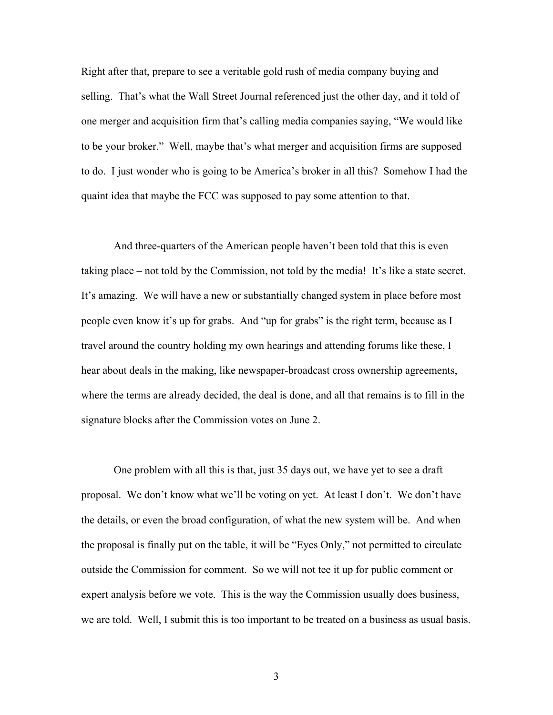Right after that, prepare to see a veritable gold rush of media company buying and selling. That's what the Wall Street Journal referenced just the other day, and it told of one merger and acquisition firm that's calling media companies saying, "We would like to be your broker." Well, maybe that's what merger and acquisition firms are supposed to do. I just wonder who is going to be America's broker in all this? Somehow I had the quaint idea that maybe the FCC was supposed to pay some attention to that.

And three-quarters of the American people haven't been told that this is even taking place – not told by the Commission, not told by the media! It's like a state secret. It's amazing. We will have a new or substantially changed system in place before most people even know it's up for grabs. And "up for grabs" is the right term, because as I travel around the country holding my own hearings and attending forums like these, I hear about deals in the making, like newspaper-broadcast cross ownership agreements, where the terms are already decided, the deal is done, and all that remains is to fill in the signature blocks after the Commission votes on June 2.

One problem with all this is that, just 35 days out, we have yet to see a draft proposal. We don't know what we'll be voting on yet. At least I don't. We don't have the details, or even the broad configuration, of what the new system will be. And when the proposal is finally put on the table, it will be "Eyes Only," not permitted to circulate outside the Commission for comment. So we will not tee it up for public comment or expert analysis before we vote. This is the way the Commission usually does business, we are told. Well, I submit this is too important to be treated on a business as usual basis.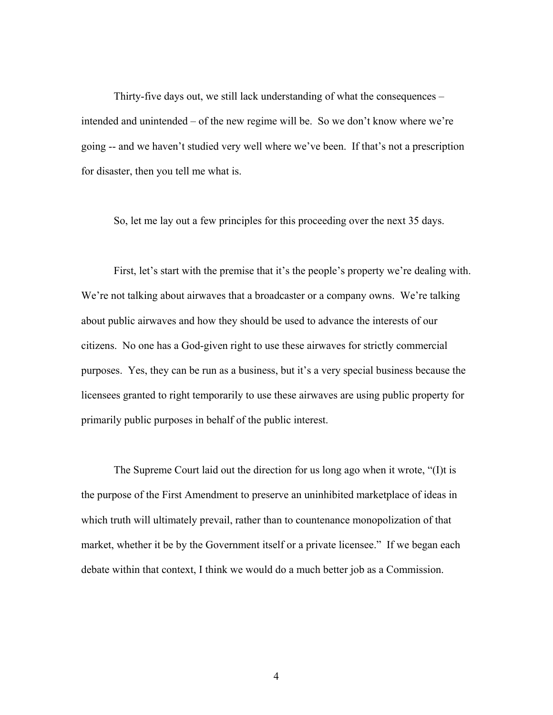Thirty-five days out, we still lack understanding of what the consequences – intended and unintended – of the new regime will be. So we don't know where we're going -- and we haven't studied very well where we've been. If that's not a prescription for disaster, then you tell me what is.

So, let me lay out a few principles for this proceeding over the next 35 days.

First, let's start with the premise that it's the people's property we're dealing with. We're not talking about airwaves that a broadcaster or a company owns. We're talking about public airwaves and how they should be used to advance the interests of our citizens. No one has a God-given right to use these airwaves for strictly commercial purposes. Yes, they can be run as a business, but it's a very special business because the licensees granted to right temporarily to use these airwaves are using public property for primarily public purposes in behalf of the public interest.

The Supreme Court laid out the direction for us long ago when it wrote, "(I)t is the purpose of the First Amendment to preserve an uninhibited marketplace of ideas in which truth will ultimately prevail, rather than to countenance monopolization of that market, whether it be by the Government itself or a private licensee." If we began each debate within that context, I think we would do a much better job as a Commission.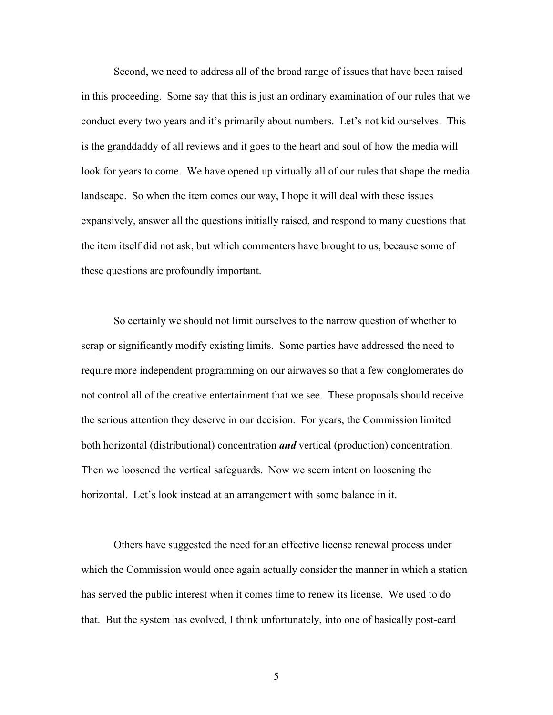Second, we need to address all of the broad range of issues that have been raised in this proceeding. Some say that this is just an ordinary examination of our rules that we conduct every two years and it's primarily about numbers. Let's not kid ourselves. This is the granddaddy of all reviews and it goes to the heart and soul of how the media will look for years to come. We have opened up virtually all of our rules that shape the media landscape. So when the item comes our way, I hope it will deal with these issues expansively, answer all the questions initially raised, and respond to many questions that the item itself did not ask, but which commenters have brought to us, because some of these questions are profoundly important.

So certainly we should not limit ourselves to the narrow question of whether to scrap or significantly modify existing limits. Some parties have addressed the need to require more independent programming on our airwaves so that a few conglomerates do not control all of the creative entertainment that we see. These proposals should receive the serious attention they deserve in our decision. For years, the Commission limited both horizontal (distributional) concentration *and* vertical (production) concentration. Then we loosened the vertical safeguards. Now we seem intent on loosening the horizontal. Let's look instead at an arrangement with some balance in it.

Others have suggested the need for an effective license renewal process under which the Commission would once again actually consider the manner in which a station has served the public interest when it comes time to renew its license. We used to do that. But the system has evolved, I think unfortunately, into one of basically post-card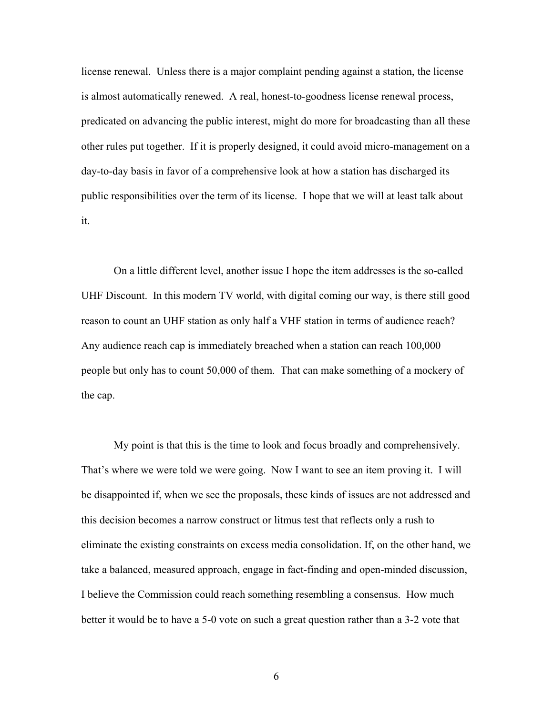license renewal. Unless there is a major complaint pending against a station, the license is almost automatically renewed. A real, honest-to-goodness license renewal process, predicated on advancing the public interest, might do more for broadcasting than all these other rules put together. If it is properly designed, it could avoid micro-management on a day-to-day basis in favor of a comprehensive look at how a station has discharged its public responsibilities over the term of its license. I hope that we will at least talk about it.

On a little different level, another issue I hope the item addresses is the so-called UHF Discount. In this modern TV world, with digital coming our way, is there still good reason to count an UHF station as only half a VHF station in terms of audience reach? Any audience reach cap is immediately breached when a station can reach 100,000 people but only has to count 50,000 of them. That can make something of a mockery of the cap.

My point is that this is the time to look and focus broadly and comprehensively. That's where we were told we were going. Now I want to see an item proving it. I will be disappointed if, when we see the proposals, these kinds of issues are not addressed and this decision becomes a narrow construct or litmus test that reflects only a rush to eliminate the existing constraints on excess media consolidation. If, on the other hand, we take a balanced, measured approach, engage in fact-finding and open-minded discussion, I believe the Commission could reach something resembling a consensus. How much better it would be to have a 5-0 vote on such a great question rather than a 3-2 vote that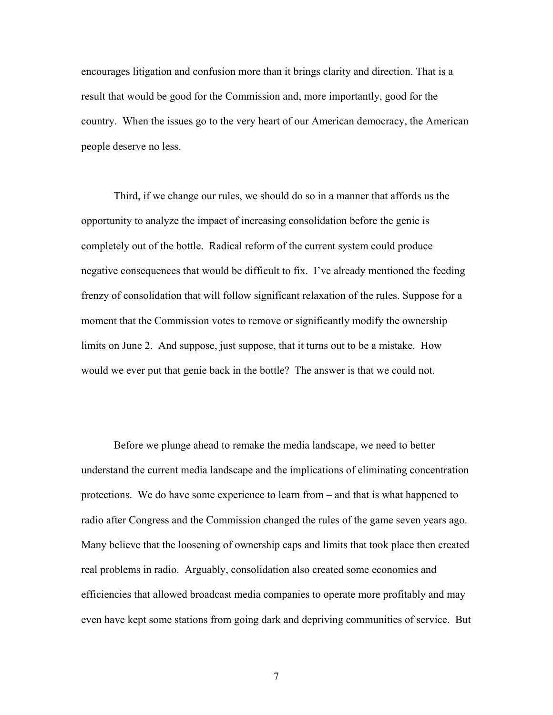encourages litigation and confusion more than it brings clarity and direction. That is a result that would be good for the Commission and, more importantly, good for the country. When the issues go to the very heart of our American democracy, the American people deserve no less.

Third, if we change our rules, we should do so in a manner that affords us the opportunity to analyze the impact of increasing consolidation before the genie is completely out of the bottle. Radical reform of the current system could produce negative consequences that would be difficult to fix. I've already mentioned the feeding frenzy of consolidation that will follow significant relaxation of the rules. Suppose for a moment that the Commission votes to remove or significantly modify the ownership limits on June 2. And suppose, just suppose, that it turns out to be a mistake. How would we ever put that genie back in the bottle? The answer is that we could not.

Before we plunge ahead to remake the media landscape, we need to better understand the current media landscape and the implications of eliminating concentration protections. We do have some experience to learn from – and that is what happened to radio after Congress and the Commission changed the rules of the game seven years ago. Many believe that the loosening of ownership caps and limits that took place then created real problems in radio. Arguably, consolidation also created some economies and efficiencies that allowed broadcast media companies to operate more profitably and may even have kept some stations from going dark and depriving communities of service. But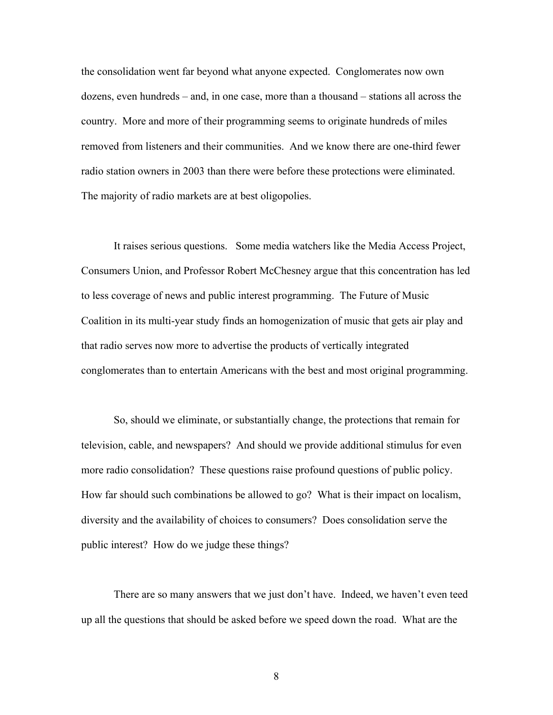the consolidation went far beyond what anyone expected. Conglomerates now own dozens, even hundreds – and, in one case, more than a thousand – stations all across the country. More and more of their programming seems to originate hundreds of miles removed from listeners and their communities. And we know there are one-third fewer radio station owners in 2003 than there were before these protections were eliminated. The majority of radio markets are at best oligopolies.

It raises serious questions. Some media watchers like the Media Access Project, Consumers Union, and Professor Robert McChesney argue that this concentration has led to less coverage of news and public interest programming. The Future of Music Coalition in its multi-year study finds an homogenization of music that gets air play and that radio serves now more to advertise the products of vertically integrated conglomerates than to entertain Americans with the best and most original programming.

So, should we eliminate, or substantially change, the protections that remain for television, cable, and newspapers? And should we provide additional stimulus for even more radio consolidation? These questions raise profound questions of public policy. How far should such combinations be allowed to go? What is their impact on localism, diversity and the availability of choices to consumers? Does consolidation serve the public interest? How do we judge these things?

There are so many answers that we just don't have. Indeed, we haven't even teed up all the questions that should be asked before we speed down the road. What are the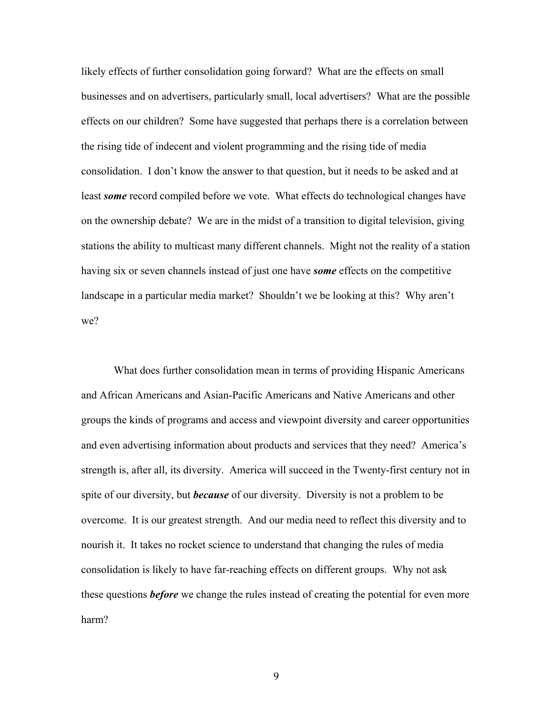likely effects of further consolidation going forward? What are the effects on small businesses and on advertisers, particularly small, local advertisers? What are the possible effects on our children? Some have suggested that perhaps there is a correlation between the rising tide of indecent and violent programming and the rising tide of media consolidation. I don't know the answer to that question, but it needs to be asked and at least *some* record compiled before we vote. What effects do technological changes have on the ownership debate? We are in the midst of a transition to digital television, giving stations the ability to multicast many different channels. Might not the reality of a station having six or seven channels instead of just one have *some* effects on the competitive landscape in a particular media market? Shouldn't we be looking at this? Why aren't we?

What does further consolidation mean in terms of providing Hispanic Americans and African Americans and Asian-Pacific Americans and Native Americans and other groups the kinds of programs and access and viewpoint diversity and career opportunities and even advertising information about products and services that they need? America's strength is, after all, its diversity. America will succeed in the Twenty-first century not in spite of our diversity, but *because* of our diversity. Diversity is not a problem to be overcome. It is our greatest strength. And our media need to reflect this diversity and to nourish it. It takes no rocket science to understand that changing the rules of media consolidation is likely to have far-reaching effects on different groups. Why not ask these questions *before* we change the rules instead of creating the potential for even more harm?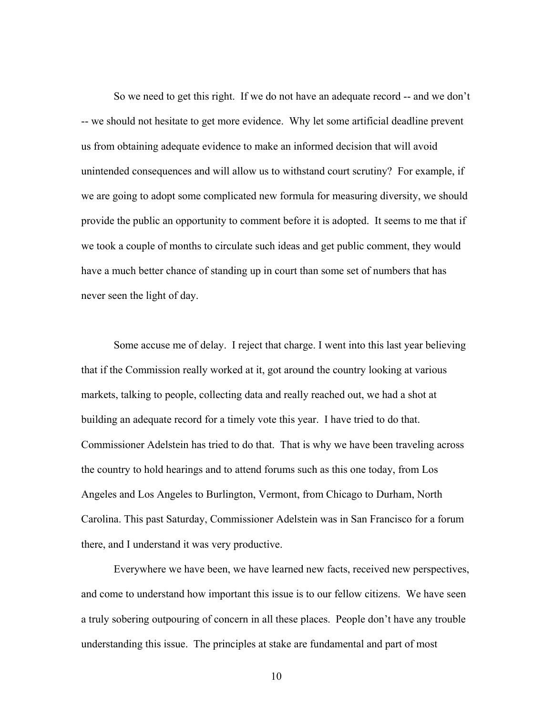So we need to get this right. If we do not have an adequate record -- and we don't -- we should not hesitate to get more evidence. Why let some artificial deadline prevent us from obtaining adequate evidence to make an informed decision that will avoid unintended consequences and will allow us to withstand court scrutiny? For example, if we are going to adopt some complicated new formula for measuring diversity, we should provide the public an opportunity to comment before it is adopted. It seems to me that if we took a couple of months to circulate such ideas and get public comment, they would have a much better chance of standing up in court than some set of numbers that has never seen the light of day.

Some accuse me of delay. I reject that charge. I went into this last year believing that if the Commission really worked at it, got around the country looking at various markets, talking to people, collecting data and really reached out, we had a shot at building an adequate record for a timely vote this year. I have tried to do that. Commissioner Adelstein has tried to do that. That is why we have been traveling across the country to hold hearings and to attend forums such as this one today, from Los Angeles and Los Angeles to Burlington, Vermont, from Chicago to Durham, North Carolina. This past Saturday, Commissioner Adelstein was in San Francisco for a forum there, and I understand it was very productive.

Everywhere we have been, we have learned new facts, received new perspectives, and come to understand how important this issue is to our fellow citizens. We have seen a truly sobering outpouring of concern in all these places. People don't have any trouble understanding this issue. The principles at stake are fundamental and part of most